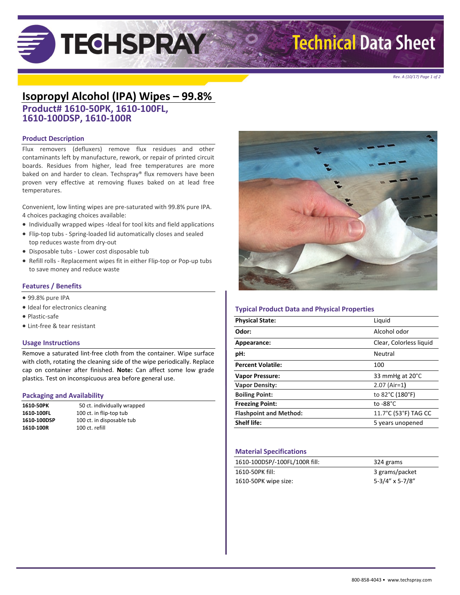# **TECHSPRAY**

## **Technical Data Sheet**

*Rev. A (10/17) Page 1 of 2*

### **Isopropyl Alcohol (IPA) Wipes – 99.8%**

**Product# 1610-50PK, 1610-100FL, 1610-100DSP, 1610-100R**

#### **Product Description**

Flux removers (defluxers) remove flux residues and other contaminants left by manufacture, rework, or repair of printed circuit boards. Residues from higher, lead free temperatures are more baked on and harder to clean. Techspray® flux removers have been proven very effective at removing fluxes baked on at lead free temperatures.

Convenient, low linting wipes are pre-saturated with 99.8% pure IPA. 4 choices packaging choices available:

- Individually wrapped wipes -Ideal for tool kits and field applications
- Flip-top tubs Spring-loaded lid automatically closes and sealed top reduces waste from dry-out
- Disposable tubs Lower cost disposable tub
- Refill rolls Replacement wipes fit in either Flip-top or Pop-up tubs to save money and reduce waste

#### **Features / Benefits**

- 99.8% pure IPA
- Ideal for electronics cleaning
- Plastic-safe
- Lint-free & tear resistant

#### **Usage Instructions**

Remove a saturated lint-free cloth from the container. Wipe surface with cloth, rotating the cleaning side of the wipe periodically. Replace cap on container after finished. **Note:** Can affect some low grade plastics. Test on inconspicuous area before general use.

#### **Packaging and Availability**

| 1610 50PK   | 50 ct. individually wrapped |
|-------------|-----------------------------|
| 1610-100FL  | 100 ct. in flip-top tub     |
| 1610-100DSP | 100 ct. in disposable tub   |
| 1610-100R   | 100 ct. refill              |



#### **Typical Product Data and Physical Properties**

| <b>Physical State:</b>        | Liquid                  |
|-------------------------------|-------------------------|
| Odor:                         | Alcohol odor            |
| Appearance:                   | Clear, Colorless liquid |
| pH:                           | Neutral                 |
| <b>Percent Volatile:</b>      | 100                     |
| <b>Vapor Pressure:</b>        | 33 mmHg at 20°C         |
| <b>Vapor Density:</b>         | $2.07$ (Air=1)          |
| <b>Boiling Point:</b>         | to 82°C (180°F)         |
| <b>Freezing Point:</b>        | to $-88^{\circ}$ C      |
| <b>Flashpoint and Method:</b> | 11.7°C (53°F) TAG CC    |
| <b>Shelf life:</b>            | 5 years unopened        |
|                               |                         |

#### **Material Specifications**

| 1610-100DSP/-100FL/100R fill: | 324 grams       |
|-------------------------------|-----------------|
| 1610-50PK fill:               | 3 grams/packet  |
| 1610-50PK wipe size:          | 5-3/4" x 5-7/8" |